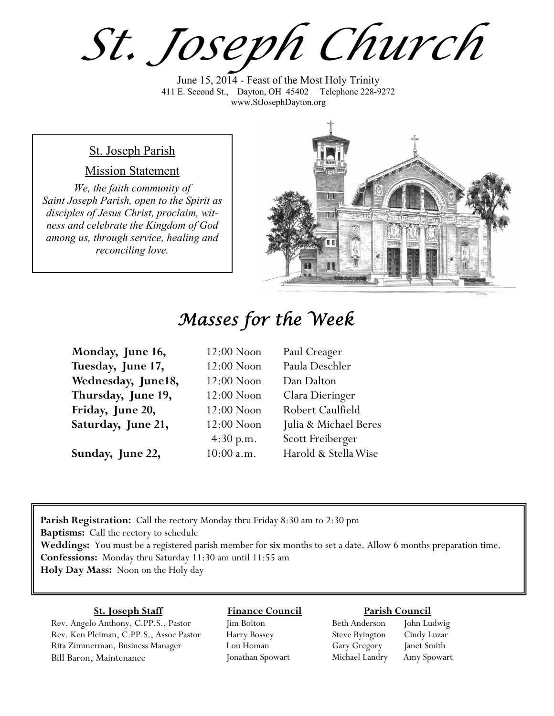*St. Joseph Church*

June 15, 2014 - Feast of the Most Holy Trinity 411 E. Second St., Dayton, OH 45402 Telephone 228-9272 www.StJosephDayton.org

#### St. Joseph Parish

#### Mission Statement

*We, the faith community of Saint Joseph Parish, open to the Spirit as disciples of Jesus Christ, proclaim, witness and celebrate the Kingdom of God among us, through service, healing and reconciling love.*



## *Masses for the Week*

| Monday, June 16,   | 12:00 Noon   | Paul Creager          |
|--------------------|--------------|-----------------------|
| Tuesday, June 17,  | 12:00 Noon   | Paula Deschler        |
| Wednesday, June18, | 12:00 Noon   | Dan Dalton            |
| Thursday, June 19, | 12:00 Noon   | Clara Dieringer       |
| Friday, June 20,   | $12:00$ Noon | Robert Caulfield      |
| Saturday, June 21, | 12:00 Noon   | Julia & Michael Beres |
|                    | 4:30 p.m.    | Scott Freiberger      |
| Sunday, June 22,   | $10:00$ a.m. | Harold & Stella Wise  |

**Parish Registration:** Call the rectory Monday thru Friday 8:30 am to 2:30 pm **Baptisms:** Call the rectory to schedule **Weddings:** You must be a registered parish member for six months to set a date. Allow 6 months preparation time. **Confessions:** Monday thru Saturday 11:30 am until 11:55 am **Holy Day Mass:** Noon on the Holy day

#### **St. Joseph Staff**

Rev. Angelo Anthony, C.PP.S., Pastor Rev. Ken Pleiman, C.PP.S., Assoc Pastor Rita Zimmerman, Business Manager Bill Baron, Maintenance

**Finance Council** Jim Bolton Harry Bossey

Lou Homan Jonathan Spowart

#### **Parish Council**

Beth Anderson John Ludwig Steve Byington Cindy Luzar Gary Gregory Janet Smith Michael Landry Amy Spowart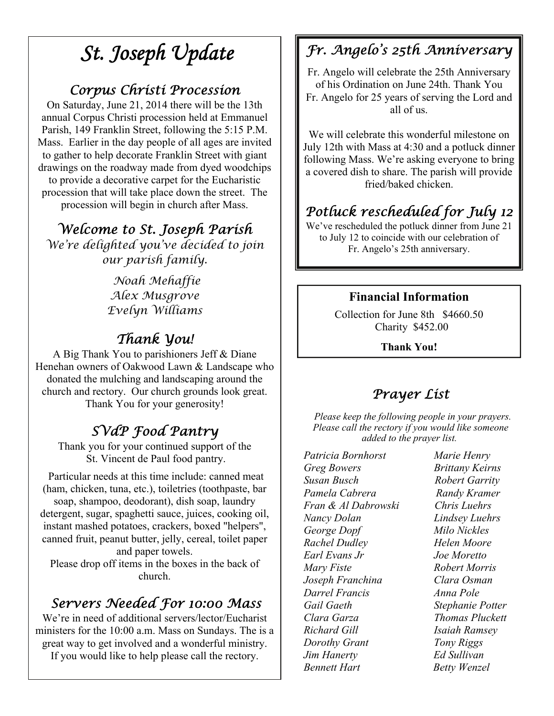# *St. Joseph Update*

### *Corpus Christi Procession*

On Saturday, June 21, 2014 there will be the 13th annual Corpus Christi procession held at Emmanuel Parish, 149 Franklin Street, following the 5:15 P.M. Mass. Earlier in the day people of all ages are invited to gather to help decorate Franklin Street with giant drawings on the roadway made from dyed woodchips to provide a decorative carpet for the Eucharistic procession that will take place down the street. The procession will begin in church after Mass.

### *Welcome to St. Joseph Parish*

*We're delighted you've decided to join our parish family.* 

> *Noah Mehaffie Alex Musgrove Evelyn Williams*

### *Thank You!*

A Big Thank You to parishioners Jeff & Diane Henehan owners of Oakwood Lawn & Landscape who donated the mulching and landscaping around the church and rectory. Our church grounds look great. Thank You for your generosity!

## *SVdP Food Pantry*

Thank you for your continued support of the St. Vincent de Paul food pantry.

 Particular needs at this time include: canned meat (ham, chicken, tuna, etc.), toiletries (toothpaste, bar soap, shampoo, deodorant), dish soap, laundry detergent, sugar, spaghetti sauce, juices, cooking oil, instant mashed potatoes, crackers, boxed "helpers", canned fruit, peanut butter, jelly, cereal, toilet paper and paper towels.

Please drop off items in the boxes in the back of church.

### *Servers Needed For 10:00 Mass*

We're in need of additional servers/lector/Eucharist ministers for the 10:00 a.m. Mass on Sundays. The is a great way to get involved and a wonderful ministry. If you would like to help please call the rectory.

## *Fr. Angelo's 25th Anniversary*

Fr. Angelo will celebrate the 25th Anniversary of his Ordination on June 24th. Thank You Fr. Angelo for 25 years of serving the Lord and all of us.

We will celebrate this wonderful milestone on July 12th with Mass at 4:30 and a potluck dinner following Mass. We're asking everyone to bring a covered dish to share. The parish will provide fried/baked chicken.

## *Potluck rescheduled for July 12*

We've rescheduled the potluck dinner from June 21 to July 12 to coincide with our celebration of Fr. Angelo's 25th anniversary.

### **Financial Information**

Collection for June 8th \$4660.50 Charity \$452.00

**Thank You!** 

### *Prayer List*

 *Please keep the following people in your prayers. Please call the rectory if you would like someone added to the prayer list.* 

*Patricia Bornhorst Marie Henry Greg Bowers Brittany Keirns Susan Busch Robert Garrity Pamela Cabrera Randy Kramer Fran & Al Dabrowski Chris Luehrs Nancy Dolan Lindsey Luehrs George Dopf Milo Nickles Rachel Dudley Helen Moore Earl Evans Jr Joe Moretto Mary Fiste Robert Morris Joseph Franchina Clara Osman Darrel Francis Anna Pole Gail Gaeth Stephanie Potter Clara Garza Thomas Pluckett Richard Gill Isaiah Ramsey Dorothy Grant Tony Riggs Jim Hanerty Ed Sullivan Bennett Hart Betty Wenzel*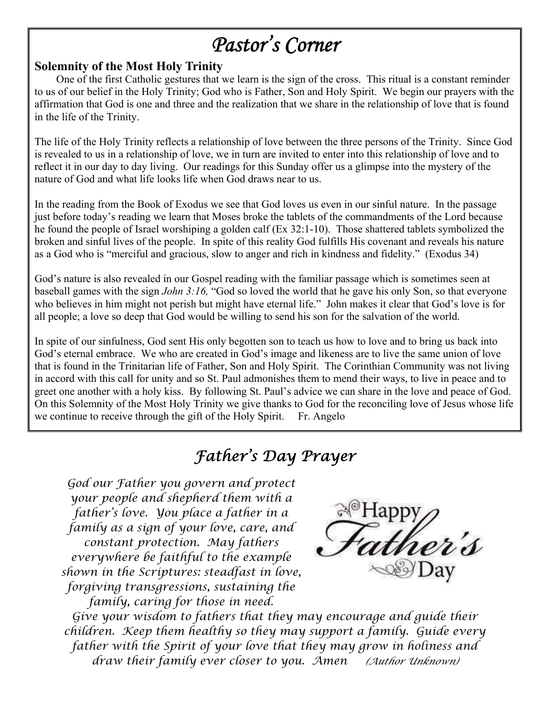# *Pastor's Corner*

#### **Solemnity of the Most Holy Trinity**

 One of the first Catholic gestures that we learn is the sign of the cross. This ritual is a constant reminder to us of our belief in the Holy Trinity; God who is Father, Son and Holy Spirit. We begin our prayers with the affirmation that God is one and three and the realization that we share in the relationship of love that is found in the life of the Trinity.

The life of the Holy Trinity reflects a relationship of love between the three persons of the Trinity. Since God is revealed to us in a relationship of love, we in turn are invited to enter into this relationship of love and to reflect it in our day to day living. Our readings for this Sunday offer us a glimpse into the mystery of the nature of God and what life looks life when God draws near to us.

In the reading from the Book of Exodus we see that God loves us even in our sinful nature. In the passage just before today's reading we learn that Moses broke the tablets of the commandments of the Lord because he found the people of Israel worshiping a golden calf (Ex 32:1-10). Those shattered tablets symbolized the broken and sinful lives of the people. In spite of this reality God fulfills His covenant and reveals his nature as a God who is "merciful and gracious, slow to anger and rich in kindness and fidelity." (Exodus 34)

God's nature is also revealed in our Gospel reading with the familiar passage which is sometimes seen at baseball games with the sign *John 3:16,* "God so loved the world that he gave his only Son, so that everyone who believes in him might not perish but might have eternal life." John makes it clear that God's love is for all people; a love so deep that God would be willing to send his son for the salvation of the world.

In spite of our sinfulness, God sent His only begotten son to teach us how to love and to bring us back into God's eternal embrace. We who are created in God's image and likeness are to live the same union of love that is found in the Trinitarian life of Father, Son and Holy Spirit. The Corinthian Community was not living in accord with this call for unity and so St. Paul admonishes them to mend their ways, to live in peace and to greet one another with a holy kiss. By following St. Paul's advice we can share in the love and peace of God. On this Solemnity of the Most Holy Trinity we give thanks to God for the reconciling love of Jesus whose life we continue to receive through the gift of the Holy Spirit. Fr. Angelo

## *Father's Day Prayer*

*God our Father you govern and protect your people and shepherd them with a father's love. You place a father in a family as a sign of your love, care, and constant protection. May fathers everywhere be faithful to the example shown in the Scriptures: steadfast in love, forgiving transgressions, sustaining the family, caring for those in need.* 



*Give your wisdom to fathers that they may encourage and guide their children. Keep them healthy so they may support a family. Guide every father with the Spirit of your love that they may grow in holiness and draw their family ever closer to you. Amen (Author Unknown)*